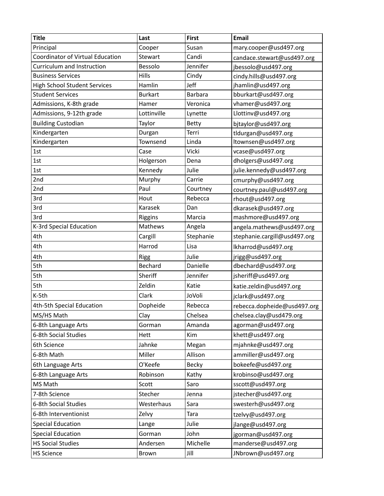| <b>Title</b>                        | Last           | <b>First</b>   | <b>Email</b>                 |
|-------------------------------------|----------------|----------------|------------------------------|
| Principal                           | Cooper         | Susan          | mary.cooper@usd497.org       |
| Coordinator of Virtual Education    | Stewart        | Candi          | candace.stewart@usd497.org   |
| Curriculum and Instruction          | Bessolo        | Jennifer       | jbessolo@usd497.org          |
| <b>Business Services</b>            | Hills          | Cindy          | cindy.hills@usd497.org       |
| <b>High School Student Services</b> | Hamlin         | Jeff           | jhamlin@usd497.org           |
| <b>Student Services</b>             | <b>Burkart</b> | <b>Barbara</b> | bburkart@usd497.org          |
| Admissions, K-8th grade             | Hamer          | Veronica       | vhamer@usd497.org            |
| Admissions, 9-12th grade            | Lottinville    | Lynette        | Llottinv@usd497.org          |
| <b>Building Custodian</b>           | Taylor         | Betty          | bitaylor@usd497.org          |
| Kindergarten                        | Durgan         | Terri          | tldurgan@usd497.org          |
| Kindergarten                        | Townsend       | Linda          | ltownsen@usd497.org          |
| 1st                                 | Case           | Vicki          | vcase@usd497.org             |
| 1st                                 | Holgerson      | Dena           | dholgers@usd497.org          |
| 1st                                 | Kennedy        | Julie          | julie.kennedy@usd497.org     |
| 2nd                                 | Murphy         | Carrie         | cmurphy@usd497.org           |
| 2nd                                 | Paul           | Courtney       | courtney.paul@usd497.org     |
| 3rd                                 | Hout           | Rebecca        | rhout@usd497.org             |
| 3rd                                 | Karasek        | Dan            | dkarasek@usd497.org          |
| 3rd                                 | Riggins        | Marcia         | mashmore@usd497.org          |
| K-3rd Special Education             | Mathews        | Angela         | angela.mathews@usd497.org    |
| 4th                                 | Cargill        | Stephanie      | stephanie.cargill@usd497.org |
| 4th                                 | Harrod         | Lisa           | lkharrod@usd497.org          |
| 4th                                 | <b>Rigg</b>    | Julie          | jrigg@usd497.org             |
| 5th                                 | Bechard        | Danielle       | dbechard@usd497.org          |
| 5th                                 | Sheriff        | Jennifer       | jsheriff@usd497.org          |
| 5th                                 | Zeldin         | Katie          | katie.zeldin@usd497.org      |
| K-5th                               | Clark          | JoVoli         | jclark@usd497.org            |
| 4th-5th Special Education           | Dopheide       | Rebecca        | rebecca.dopheide@usd497.org  |
| MS/HS Math                          | Clay           | Chelsea        | chelsea.clay@usd479.org      |
| 6-8th Language Arts                 | Gorman         | Amanda         | agorman@usd497.org           |
| 6-8th Social Studies                | Hett           | Kim            | khett@usd497.org             |
| 6th Science                         | Jahnke         | Megan          | mjahnke@usd497.org           |
| 6-8th Math                          | Miller         | Allison        | ammiller@usd497.org          |
| 6th Language Arts                   | O'Keefe        | Becky          | bokeefe@usd497.org           |
| 6-8th Language Arts                 | Robinson       | Kathy          | krobinso@usd497.org          |
| MS Math                             | Scott          | Saro           | sscott@usd497.org            |
| 7-8th Science                       | Stecher        | Jenna          | jstecher@usd497.org          |
| 6-8th Social Studies                | Westerhaus     | Sara           | swesterh@usd497.org          |
| 6-8th Interventionist               | Zelvy          | Tara           | tzelvy@usd497.org            |
| <b>Special Education</b>            | Lange          | Julie          | jlange@usd497.org            |
| <b>Special Education</b>            | Gorman         | John           | jgorman@usd497.org           |
| <b>HS Social Studies</b>            | Andersen       | Michelle       | manderse@usd497.org          |
| <b>HS Science</b>                   | Brown          | Jill           | JNbrown@usd497.org           |